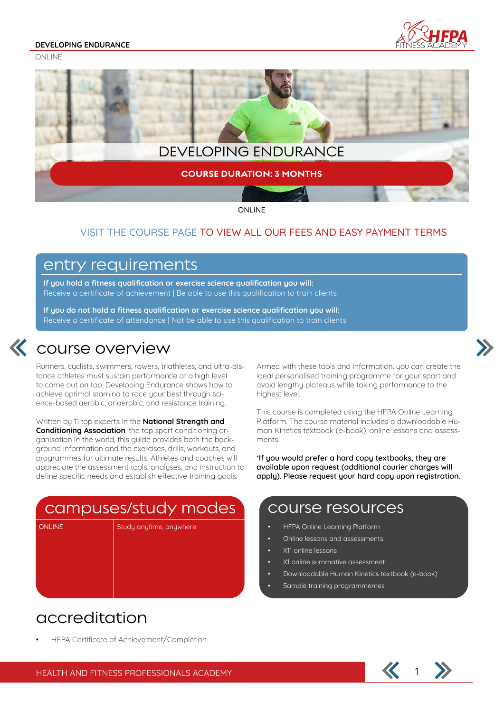#### **DEVELOPING ENDURANCE**

ONI INF





ONLINE

### VISIT THE COURSE PAGE TO VIEW ALL OUR FEES AND EASY PAYMENT TERMS

### entry requirements

**If you hold a fitness qualification or exercise science qualification you will:** Receive a certificate of achievement | Be able to use this qualification to train clients

**If you do not hold a fitness qualification or exercise science qualification you will:** Receive a certificate of attendance | Not be able to use this qualification to train clients



### **K** course overview

Runners, cyclists, swimmers, rowers, triathletes, and ultra-distance athletes must sustain performance at a high level to come out on top. Developing Endurance shows how to achieve optimal stamina to race your best through science-based aerobic, anaerobic, and resistance training.

Written by 11 top experts in the **National Strength and Conditioning Association**, the top sport conditioning organisation in the world, this guide provides both the background information and the exercises, drills, workouts, and programmes for ultimate results. Athletes and coaches will appreciate the assessment tools, analyses, and instruction to define specific needs and establish effective training goals.

# campuses/study modes

ONLINE Study anytime, anywhere

Armed with these tools and information, you can create the ideal personalised training programme for your sport and avoid lengthy plateaus while taking performance to the highest level.

This course is completed using the HFPA Online Learning Platform. The course material includes a downloadable Human Kinetics textbook (e-book), online lessons and assessments.

\***If you would prefer a hard copy textbooks, they are available upon request (additional courier charges will apply). Please request your hard copy upon registration.**

### course resources

- HFPA Online Learning Platform
- Online lessons and assessments
- X11 online lessons
- X1 online summative assessment
- Downloadable Human Kinetics textbook (e-book)
- Sample training programmemes

## accreditation

• HFPA Certificate of Achievement/Completion